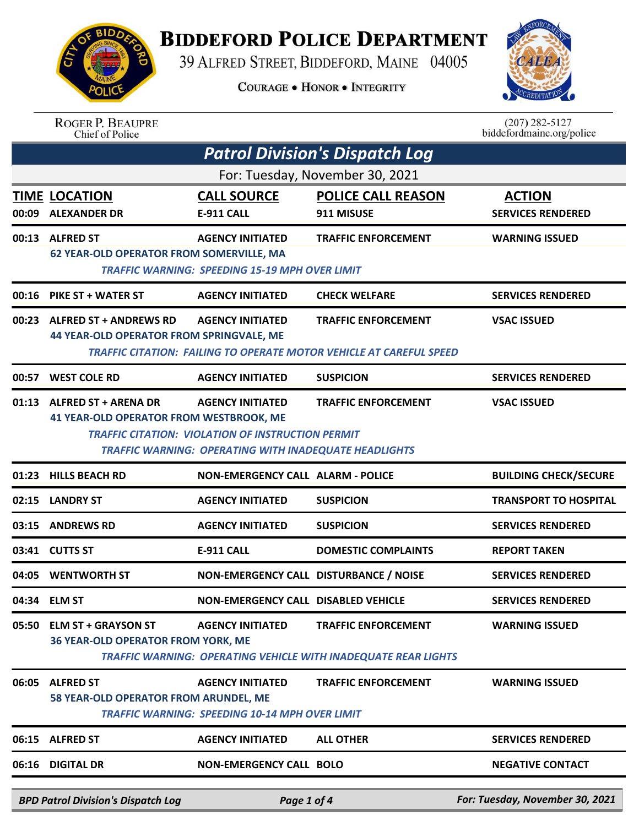

## **BIDDEFORD POLICE DEPARTMENT**

39 ALFRED STREET, BIDDEFORD, MAINE 04005

**COURAGE . HONOR . INTEGRITY** 



| <b>ROGER P. BEAUPRE</b> |
|-------------------------|
| Chief of Police         |

 $(207)$  282-5127<br>biddefordmaine.org/police

|                                 | <b>Patrol Division's Dispatch Log</b>                                           |                                                                                                                                                     |                                                                                                          |                                           |  |  |  |  |
|---------------------------------|---------------------------------------------------------------------------------|-----------------------------------------------------------------------------------------------------------------------------------------------------|----------------------------------------------------------------------------------------------------------|-------------------------------------------|--|--|--|--|
| For: Tuesday, November 30, 2021 |                                                                                 |                                                                                                                                                     |                                                                                                          |                                           |  |  |  |  |
|                                 | <b>TIME LOCATION</b><br>00:09 ALEXANDER DR                                      | <b>CALL SOURCE</b><br><b>E-911 CALL</b>                                                                                                             | <b>POLICE CALL REASON</b><br>911 MISUSE                                                                  | <b>ACTION</b><br><b>SERVICES RENDERED</b> |  |  |  |  |
|                                 | 00:13 ALFRED ST<br><b>62 YEAR-OLD OPERATOR FROM SOMERVILLE, MA</b>              | <b>AGENCY INITIATED</b><br><b>TRAFFIC WARNING: SPEEDING 15-19 MPH OVER LIMIT</b>                                                                    | <b>TRAFFIC ENFORCEMENT</b>                                                                               | <b>WARNING ISSUED</b>                     |  |  |  |  |
|                                 | 00:16 PIKE ST + WATER ST                                                        | <b>AGENCY INITIATED</b>                                                                                                                             | <b>CHECK WELFARE</b>                                                                                     | <b>SERVICES RENDERED</b>                  |  |  |  |  |
|                                 | 00:23 ALFRED ST + ANDREWS RD<br><b>44 YEAR-OLD OPERATOR FROM SPRINGVALE, ME</b> | <b>AGENCY INITIATED</b>                                                                                                                             | <b>TRAFFIC ENFORCEMENT</b><br><b>TRAFFIC CITATION: FAILING TO OPERATE MOTOR VEHICLE AT CAREFUL SPEED</b> | <b>VSAC ISSUED</b>                        |  |  |  |  |
|                                 | 00:57 WEST COLE RD                                                              | <b>AGENCY INITIATED</b>                                                                                                                             | <b>SUSPICION</b>                                                                                         | <b>SERVICES RENDERED</b>                  |  |  |  |  |
|                                 | 01:13 ALFRED ST + ARENA DR<br><b>41 YEAR-OLD OPERATOR FROM WESTBROOK, ME</b>    | <b>AGENCY INITIATED</b><br><b>TRAFFIC CITATION: VIOLATION OF INSTRUCTION PERMIT</b><br><b>TRAFFIC WARNING: OPERATING WITH INADEQUATE HEADLIGHTS</b> | <b>TRAFFIC ENFORCEMENT</b>                                                                               | <b>VSAC ISSUED</b>                        |  |  |  |  |
| 01:23                           | <b>HILLS BEACH RD</b>                                                           | <b>NON-EMERGENCY CALL ALARM - POLICE</b>                                                                                                            |                                                                                                          | <b>BUILDING CHECK/SECURE</b>              |  |  |  |  |
| 02:15                           | <b>LANDRY ST</b>                                                                | <b>AGENCY INITIATED</b>                                                                                                                             | <b>SUSPICION</b>                                                                                         | <b>TRANSPORT TO HOSPITAL</b>              |  |  |  |  |
| 03:15                           | <b>ANDREWS RD</b>                                                               | <b>AGENCY INITIATED</b>                                                                                                                             | <b>SUSPICION</b>                                                                                         | <b>SERVICES RENDERED</b>                  |  |  |  |  |
|                                 | 03:41 CUTTS ST                                                                  | <b>E-911 CALL</b>                                                                                                                                   | <b>DOMESTIC COMPLAINTS</b>                                                                               | <b>REPORT TAKEN</b>                       |  |  |  |  |
| 04:05                           | <b>WENTWORTH ST</b>                                                             | NON-EMERGENCY CALL DISTURBANCE / NOISE                                                                                                              |                                                                                                          | <b>SERVICES RENDERED</b>                  |  |  |  |  |
|                                 | 04:34 ELM ST                                                                    | NON-EMERGENCY CALL DISABLED VEHICLE                                                                                                                 |                                                                                                          | <b>SERVICES RENDERED</b>                  |  |  |  |  |
| 05:50                           | <b>ELM ST + GRAYSON ST</b><br><b>36 YEAR-OLD OPERATOR FROM YORK, ME</b>         | <b>AGENCY INITIATED</b>                                                                                                                             | <b>TRAFFIC ENFORCEMENT</b><br><b>TRAFFIC WARNING: OPERATING VEHICLE WITH INADEQUATE REAR LIGHTS</b>      | <b>WARNING ISSUED</b>                     |  |  |  |  |
| 06:05                           | <b>ALFRED ST</b><br>58 YEAR-OLD OPERATOR FROM ARUNDEL, ME                       | <b>AGENCY INITIATED</b><br><b>TRAFFIC WARNING: SPEEDING 10-14 MPH OVER LIMIT</b>                                                                    | <b>TRAFFIC ENFORCEMENT</b>                                                                               | <b>WARNING ISSUED</b>                     |  |  |  |  |
|                                 | 06:15 ALFRED ST                                                                 | <b>AGENCY INITIATED</b>                                                                                                                             | <b>ALL OTHER</b>                                                                                         | <b>SERVICES RENDERED</b>                  |  |  |  |  |
|                                 | 06:16 DIGITAL DR                                                                | <b>NON-EMERGENCY CALL BOLO</b>                                                                                                                      |                                                                                                          | <b>NEGATIVE CONTACT</b>                   |  |  |  |  |
|                                 | <b>BPD Patrol Division's Dispatch Log</b>                                       | Page 1 of 4                                                                                                                                         |                                                                                                          | For: Tuesday, November 30, 2021           |  |  |  |  |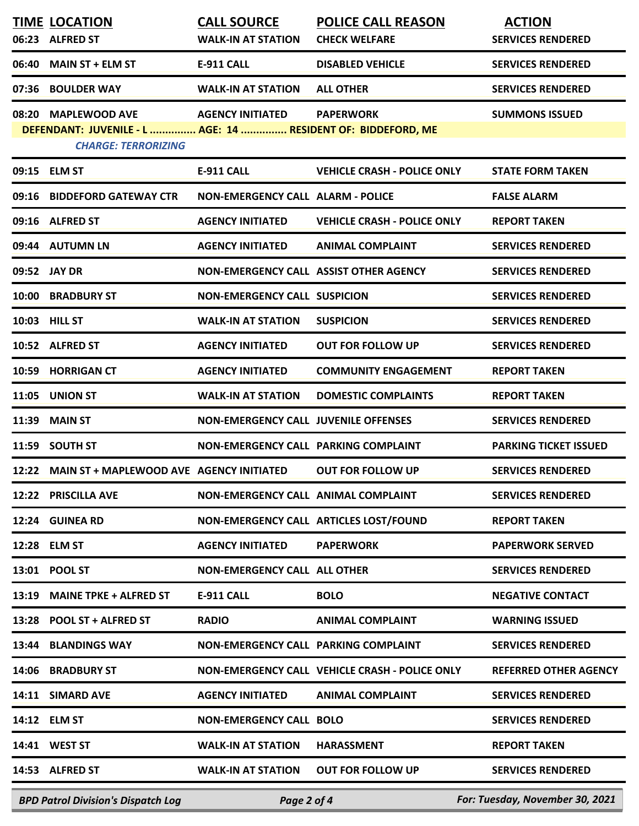| 06:23 | <b>TIME LOCATION</b><br><b>ALFRED ST</b>                                                                          | <b>CALL SOURCE</b><br><b>WALK-IN AT STATION</b> | <b>POLICE CALL REASON</b><br><b>CHECK WELFARE</b> | <b>ACTION</b><br><b>SERVICES RENDERED</b> |
|-------|-------------------------------------------------------------------------------------------------------------------|-------------------------------------------------|---------------------------------------------------|-------------------------------------------|
| 06:40 | <b>MAIN ST + ELM ST</b>                                                                                           | <b>E-911 CALL</b>                               | <b>DISABLED VEHICLE</b>                           | <b>SERVICES RENDERED</b>                  |
| 07:36 | <b>BOULDER WAY</b>                                                                                                | <b>WALK-IN AT STATION</b>                       | <b>ALL OTHER</b>                                  | <b>SERVICES RENDERED</b>                  |
|       | 08:20 MAPLEWOOD AVE<br>DEFENDANT: JUVENILE - L  AGE: 14  RESIDENT OF: BIDDEFORD, ME<br><b>CHARGE: TERRORIZING</b> | <b>AGENCY INITIATED</b>                         | <b>PAPERWORK</b>                                  | <b>SUMMONS ISSUED</b>                     |
|       | 09:15 ELM ST                                                                                                      | E-911 CALL                                      | <b>VEHICLE CRASH - POLICE ONLY</b>                | <b>STATE FORM TAKEN</b>                   |
|       | 09:16 BIDDEFORD GATEWAY CTR                                                                                       | <b>NON-EMERGENCY CALL ALARM - POLICE</b>        |                                                   | <b>FALSE ALARM</b>                        |
|       | 09:16 ALFRED ST                                                                                                   | <b>AGENCY INITIATED</b>                         | <b>VEHICLE CRASH - POLICE ONLY</b>                | <b>REPORT TAKEN</b>                       |
|       | 09:44 AUTUMN LN                                                                                                   | <b>AGENCY INITIATED</b>                         | <b>ANIMAL COMPLAINT</b>                           | <b>SERVICES RENDERED</b>                  |
|       | 09:52 JAY DR                                                                                                      | NON-EMERGENCY CALL ASSIST OTHER AGENCY          |                                                   | <b>SERVICES RENDERED</b>                  |
| 10:00 | <b>BRADBURY ST</b>                                                                                                | <b>NON-EMERGENCY CALL SUSPICION</b>             |                                                   | <b>SERVICES RENDERED</b>                  |
| 10:03 | <b>HILL ST</b>                                                                                                    | <b>WALK-IN AT STATION</b>                       | <b>SUSPICION</b>                                  | <b>SERVICES RENDERED</b>                  |
|       | 10:52 ALFRED ST                                                                                                   | <b>AGENCY INITIATED</b>                         | <b>OUT FOR FOLLOW UP</b>                          | <b>SERVICES RENDERED</b>                  |
| 10:59 | <b>HORRIGAN CT</b>                                                                                                | <b>AGENCY INITIATED</b>                         | <b>COMMUNITY ENGAGEMENT</b>                       | <b>REPORT TAKEN</b>                       |
| 11:05 | <b>UNION ST</b>                                                                                                   | <b>WALK-IN AT STATION</b>                       | <b>DOMESTIC COMPLAINTS</b>                        | <b>REPORT TAKEN</b>                       |
| 11:39 | <b>MAIN ST</b>                                                                                                    | <b>NON-EMERGENCY CALL JUVENILE OFFENSES</b>     |                                                   | <b>SERVICES RENDERED</b>                  |
| 11:59 | <b>SOUTH ST</b>                                                                                                   | NON-EMERGENCY CALL PARKING COMPLAINT            |                                                   | <b>PARKING TICKET ISSUED</b>              |
|       | 12:22 MAIN ST + MAPLEWOOD AVE AGENCY INITIATED                                                                    |                                                 | <b>OUT FOR FOLLOW UP</b>                          | <b>SERVICES RENDERED</b>                  |
| 12:22 | <b>PRISCILLA AVE</b>                                                                                              | NON-EMERGENCY CALL ANIMAL COMPLAINT             |                                                   | <b>SERVICES RENDERED</b>                  |
| 12:24 | <b>GUINEA RD</b>                                                                                                  |                                                 | NON-EMERGENCY CALL ARTICLES LOST/FOUND            | <b>REPORT TAKEN</b>                       |
| 12:28 | <b>ELM ST</b>                                                                                                     | <b>AGENCY INITIATED</b>                         | <b>PAPERWORK</b>                                  | <b>PAPERWORK SERVED</b>                   |
| 13:01 | <b>POOL ST</b>                                                                                                    | <b>NON-EMERGENCY CALL ALL OTHER</b>             |                                                   | <b>SERVICES RENDERED</b>                  |
| 13:19 | <b>MAINE TPKE + ALFRED ST</b>                                                                                     | E-911 CALL                                      | <b>BOLO</b>                                       | <b>NEGATIVE CONTACT</b>                   |
| 13:28 | POOL ST + ALFRED ST                                                                                               | <b>RADIO</b>                                    | <b>ANIMAL COMPLAINT</b>                           | <b>WARNING ISSUED</b>                     |
| 13:44 | <b>BLANDINGS WAY</b>                                                                                              | NON-EMERGENCY CALL PARKING COMPLAINT            |                                                   | <b>SERVICES RENDERED</b>                  |
| 14:06 | <b>BRADBURY ST</b>                                                                                                |                                                 | NON-EMERGENCY CALL VEHICLE CRASH - POLICE ONLY    | <b>REFERRED OTHER AGENCY</b>              |
| 14:11 | <b>SIMARD AVE</b>                                                                                                 | <b>AGENCY INITIATED</b>                         | <b>ANIMAL COMPLAINT</b>                           | <b>SERVICES RENDERED</b>                  |
| 14:12 | <b>ELM ST</b>                                                                                                     | <b>NON-EMERGENCY CALL BOLO</b>                  |                                                   | <b>SERVICES RENDERED</b>                  |
|       | 14:41 WEST ST                                                                                                     | <b>WALK-IN AT STATION</b>                       | <b>HARASSMENT</b>                                 | <b>REPORT TAKEN</b>                       |
|       | 14:53 ALFRED ST                                                                                                   | <b>WALK-IN AT STATION</b>                       | <b>OUT FOR FOLLOW UP</b>                          | <b>SERVICES RENDERED</b>                  |
|       | <b>BPD Patrol Division's Dispatch Log</b>                                                                         | Page 2 of 4                                     |                                                   | For: Tuesday, November 30, 2021           |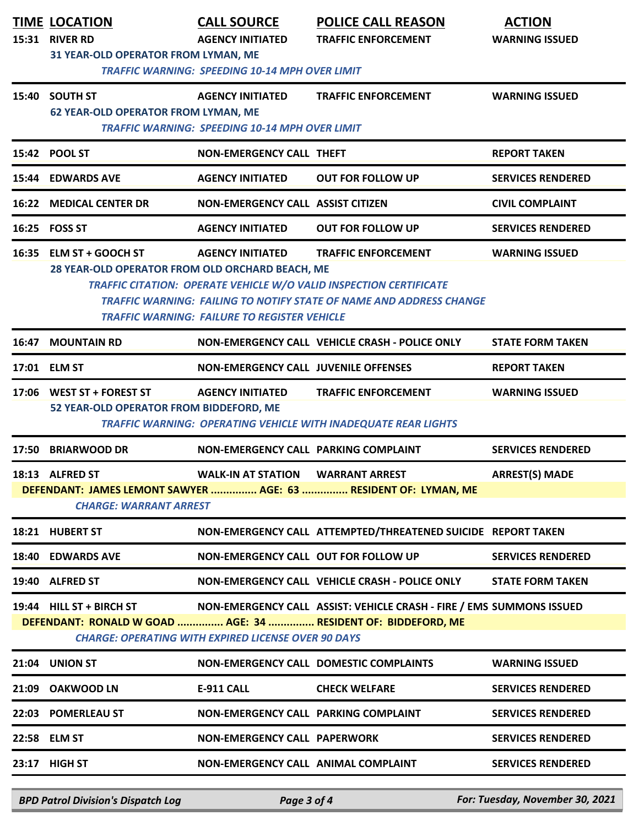| <b>TRAFFIC WARNING: SPEEDING 10-14 MPH OVER LIMIT</b><br>15:40 SOUTH ST<br><b>AGENCY INITIATED</b><br><b>TRAFFIC ENFORCEMENT</b><br><b>62 YEAR-OLD OPERATOR FROM LYMAN, ME</b> | <b>WARNING ISSUED</b>    |  |  |  |  |  |
|--------------------------------------------------------------------------------------------------------------------------------------------------------------------------------|--------------------------|--|--|--|--|--|
|                                                                                                                                                                                |                          |  |  |  |  |  |
|                                                                                                                                                                                |                          |  |  |  |  |  |
| <b>TRAFFIC WARNING: SPEEDING 10-14 MPH OVER LIMIT</b>                                                                                                                          |                          |  |  |  |  |  |
| 15:42 POOL ST<br><b>NON-EMERGENCY CALL THEFT</b>                                                                                                                               | <b>REPORT TAKEN</b>      |  |  |  |  |  |
| 15:44 EDWARDS AVE<br><b>AGENCY INITIATED</b><br><b>OUT FOR FOLLOW UP</b>                                                                                                       | <b>SERVICES RENDERED</b> |  |  |  |  |  |
| <b>16:22 MEDICAL CENTER DR</b><br><b>NON-EMERGENCY CALL ASSIST CITIZEN</b>                                                                                                     | <b>CIVIL COMPLAINT</b>   |  |  |  |  |  |
| 16:25 FOSS ST<br><b>AGENCY INITIATED</b><br><b>OUT FOR FOLLOW UP</b>                                                                                                           | <b>SERVICES RENDERED</b> |  |  |  |  |  |
| 16:35<br><b>ELM ST + GOOCH ST</b><br><b>AGENCY INITIATED</b><br><b>TRAFFIC ENFORCEMENT</b>                                                                                     | <b>WARNING ISSUED</b>    |  |  |  |  |  |
| 28 YEAR-OLD OPERATOR FROM OLD ORCHARD BEACH, ME<br><b>TRAFFIC CITATION: OPERATE VEHICLE W/O VALID INSPECTION CERTIFICATE</b>                                                   |                          |  |  |  |  |  |
| <b>TRAFFIC WARNING: FAILING TO NOTIFY STATE OF NAME AND ADDRESS CHANGE</b>                                                                                                     |                          |  |  |  |  |  |
| <b>TRAFFIC WARNING: FAILURE TO REGISTER VEHICLE</b>                                                                                                                            |                          |  |  |  |  |  |
| <b>MOUNTAIN RD</b><br>NON-EMERGENCY CALL VEHICLE CRASH - POLICE ONLY<br>16:47                                                                                                  | <b>STATE FORM TAKEN</b>  |  |  |  |  |  |
| 17:01 ELM ST<br><b>NON-EMERGENCY CALL JUVENILE OFFENSES</b>                                                                                                                    | <b>REPORT TAKEN</b>      |  |  |  |  |  |
| 17:06 WEST ST + FOREST ST<br><b>AGENCY INITIATED</b><br><b>TRAFFIC ENFORCEMENT</b>                                                                                             | <b>WARNING ISSUED</b>    |  |  |  |  |  |
| 52 YEAR-OLD OPERATOR FROM BIDDEFORD, ME<br><b>TRAFFIC WARNING: OPERATING VEHICLE WITH INADEQUATE REAR LIGHTS</b>                                                               |                          |  |  |  |  |  |
| <b>BRIARWOOD DR</b><br>17:50<br><b>NON-EMERGENCY CALL PARKING COMPLAINT</b>                                                                                                    | <b>SERVICES RENDERED</b> |  |  |  |  |  |
| 18:13 ALFRED ST<br><b>WALK-IN AT STATION</b><br><b>WARRANT ARREST</b>                                                                                                          | <b>ARREST(S) MADE</b>    |  |  |  |  |  |
| DEFENDANT: JAMES LEMONT SAWYER  AGE: 63  RESIDENT OF: LYMAN, ME<br><b>CHARGE: WARRANT ARREST</b>                                                                               |                          |  |  |  |  |  |
|                                                                                                                                                                                |                          |  |  |  |  |  |
| NON-EMERGENCY CALL ATTEMPTED/THREATENED SUICIDE REPORT TAKEN<br>18:21 HUBERT ST                                                                                                |                          |  |  |  |  |  |
| 18:40 EDWARDS AVE<br>NON-EMERGENCY CALL OUT FOR FOLLOW UP                                                                                                                      | <b>SERVICES RENDERED</b> |  |  |  |  |  |
| 19:40 ALFRED ST<br>NON-EMERGENCY CALL VEHICLE CRASH - POLICE ONLY                                                                                                              | <b>STATE FORM TAKEN</b>  |  |  |  |  |  |
| 19:44 HILL ST + BIRCH ST<br>NON-EMERGENCY CALL ASSIST: VEHICLE CRASH - FIRE / EMS SUMMONS ISSUED                                                                               |                          |  |  |  |  |  |
| DEFENDANT: RONALD W GOAD  AGE: 34  RESIDENT OF: BIDDEFORD, ME<br><b>CHARGE: OPERATING WITH EXPIRED LICENSE OVER 90 DAYS</b>                                                    |                          |  |  |  |  |  |
|                                                                                                                                                                                |                          |  |  |  |  |  |
| 21:04 UNION ST<br>NON-EMERGENCY CALL DOMESTIC COMPLAINTS                                                                                                                       | <b>WARNING ISSUED</b>    |  |  |  |  |  |
| 21:09 OAKWOOD LN<br>E-911 CALL<br><b>CHECK WELFARE</b>                                                                                                                         | <b>SERVICES RENDERED</b> |  |  |  |  |  |
| 22:03 POMERLEAU ST<br>NON-EMERGENCY CALL PARKING COMPLAINT                                                                                                                     | <b>SERVICES RENDERED</b> |  |  |  |  |  |
| <b>NON-EMERGENCY CALL PAPERWORK</b><br>22:58 ELM ST                                                                                                                            | <b>SERVICES RENDERED</b> |  |  |  |  |  |
| 23:17 HIGH ST<br>NON-EMERGENCY CALL ANIMAL COMPLAINT                                                                                                                           | <b>SERVICES RENDERED</b> |  |  |  |  |  |

*BPD Patrol Division's Dispatch Log Page 3 of 4 For: Tuesday, November 30, 2021*